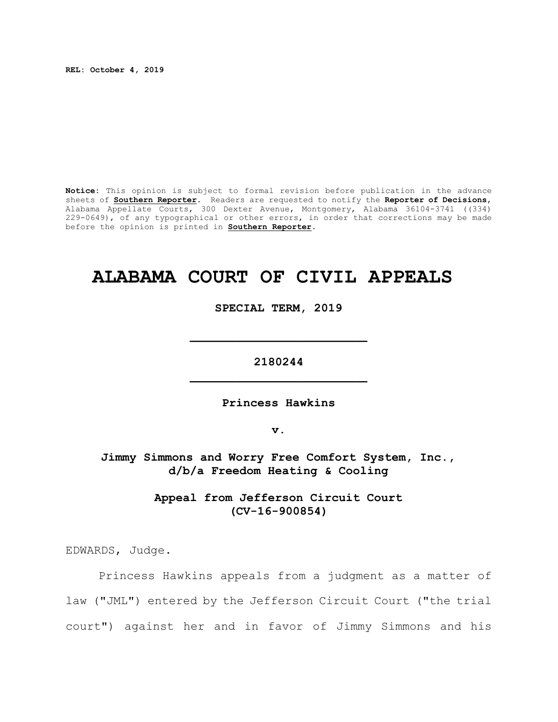**REL: October 4, 2019**

**Notice:** This opinion is subject to formal revision before publication in the advance sheets of **Southern Reporter**. Readers are requested to notify the **Reporter of Decisions**, Alabama Appellate Courts, 300 Dexter Avenue, Montgomery, Alabama 36104-3741 ((334) 229-0649), of any typographical or other errors, in order that corrections may be made before the opinion is printed in **Southern Reporter**.

# **ALABAMA COURT OF CIVIL APPEALS**

**SPECIAL TERM, 2019**

**2180244 \_\_\_\_\_\_\_\_\_\_\_\_\_\_\_\_\_\_\_\_\_\_\_\_\_**

**\_\_\_\_\_\_\_\_\_\_\_\_\_\_\_\_\_\_\_\_\_\_\_\_\_**

**Princess Hawkins**

**v.**

**Jimmy Simmons and Worry Free Comfort System, Inc., d/b/a Freedom Heating & Cooling**

> **Appeal from Jefferson Circuit Court (CV-16-900854)**

EDWARDS, Judge.

Princess Hawkins appeals from a judgment as a matter of law ("JML") entered by the Jefferson Circuit Court ("the trial court") against her and in favor of Jimmy Simmons and his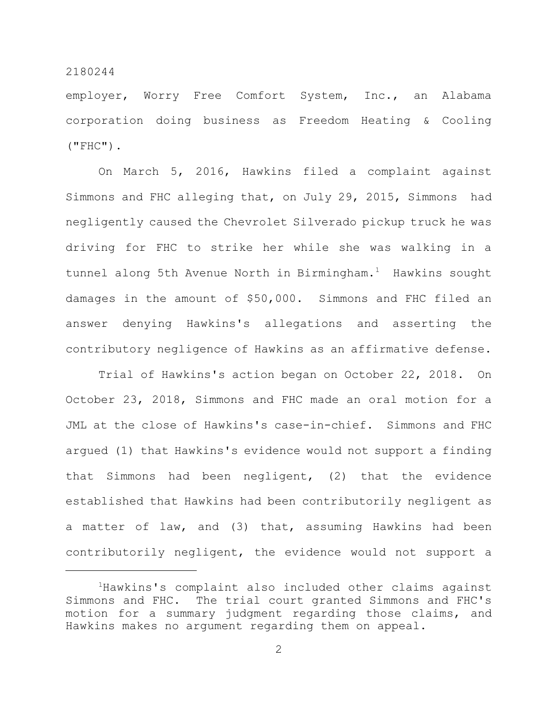employer, Worry Free Comfort System, Inc., an Alabama corporation doing business as Freedom Heating & Cooling  $(''FHC'')$ .

On March 5, 2016, Hawkins filed a complaint against Simmons and FHC alleging that, on July 29, 2015, Simmons had negligently caused the Chevrolet Silverado pickup truck he was driving for FHC to strike her while she was walking in a tunnel along 5th Avenue North in Birmingham.<sup>1</sup> Hawkins sought damages in the amount of \$50,000. Simmons and FHC filed an answer denying Hawkins's allegations and asserting the contributory negligence of Hawkins as an affirmative defense.

Trial of Hawkins's action began on October 22, 2018. On October 23, 2018, Simmons and FHC made an oral motion for a JML at the close of Hawkins's case-in-chief. Simmons and FHC argued (1) that Hawkins's evidence would not support a finding that Simmons had been negligent, (2) that the evidence established that Hawkins had been contributorily negligent as a matter of law, and (3) that, assuming Hawkins had been contributorily negligent, the evidence would not support a

<sup>&</sup>lt;sup>1</sup>Hawkins's complaint also included other claims against Simmons and FHC. The trial court granted Simmons and FHC's motion for a summary judgment regarding those claims, and Hawkins makes no argument regarding them on appeal.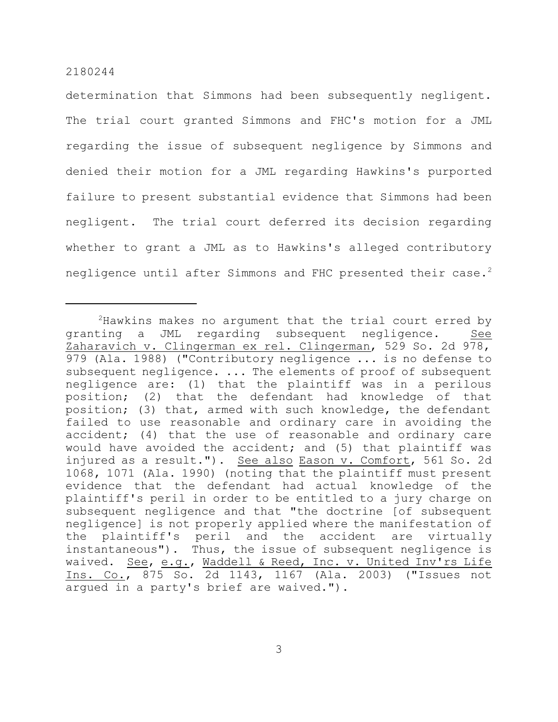determination that Simmons had been subsequently negligent. The trial court granted Simmons and FHC's motion for a JML regarding the issue of subsequent negligence by Simmons and denied their motion for a JML regarding Hawkins's purported failure to present substantial evidence that Simmons had been negligent. The trial court deferred its decision regarding whether to grant a JML as to Hawkins's alleged contributory negligence until after Simmons and FHC presented their case.<sup>2</sup>

 $2$ Hawkins makes no argument that the trial court erred by granting a JML regarding subsequent negligence. See Zaharavich v. Clingerman ex rel. Clingerman, 529 So. 2d 978, 979 (Ala. 1988) ("Contributory negligence ... is no defense to subsequent negligence. ... The elements of proof of subsequent negligence are: (1) that the plaintiff was in a perilous position; (2) that the defendant had knowledge of that position; (3) that, armed with such knowledge, the defendant failed to use reasonable and ordinary care in avoiding the accident; (4) that the use of reasonable and ordinary care would have avoided the accident; and (5) that plaintiff was injured as a result."). See also Eason v. Comfort, 561 So. 2d 1068, 1071 (Ala. 1990) (noting that the plaintiff must present evidence that the defendant had actual knowledge of the plaintiff's peril in order to be entitled to a jury charge on subsequent negligence and that "the doctrine [of subsequent negligence] is not properly applied where the manifestation of the plaintiff's peril and the accident are virtually instantaneous"). Thus, the issue of subsequent negligence is waived. See, e.g., Waddell & Reed, Inc. v. United Inv'rs Life Ins. Co., 875 So. 2d 1143, 1167 (Ala. 2003) ("Issues not argued in a party's brief are waived.").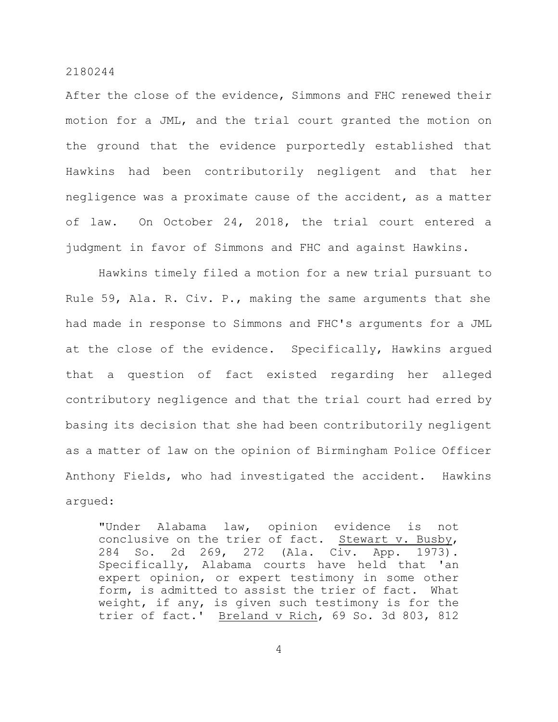After the close of the evidence, Simmons and FHC renewed their motion for a JML, and the trial court granted the motion on the ground that the evidence purportedly established that Hawkins had been contributorily negligent and that her negligence was a proximate cause of the accident, as a matter of law. On October 24, 2018, the trial court entered a judgment in favor of Simmons and FHC and against Hawkins.

Hawkins timely filed a motion for a new trial pursuant to Rule 59, Ala. R. Civ. P., making the same arguments that she had made in response to Simmons and FHC's arguments for a JML at the close of the evidence. Specifically, Hawkins argued that a question of fact existed regarding her alleged contributory negligence and that the trial court had erred by basing its decision that she had been contributorily negligent as a matter of law on the opinion of Birmingham Police Officer Anthony Fields, who had investigated the accident. Hawkins argued:

"Under Alabama law, opinion evidence is not conclusive on the trier of fact. Stewart v. Busby, 284 So. 2d 269, 272 (Ala. Civ. App. 1973). Specifically, Alabama courts have held that 'an expert opinion, or expert testimony in some other form, is admitted to assist the trier of fact. What weight, if any, is given such testimony is for the trier of fact.' Breland v Rich, 69 So. 3d 803, 812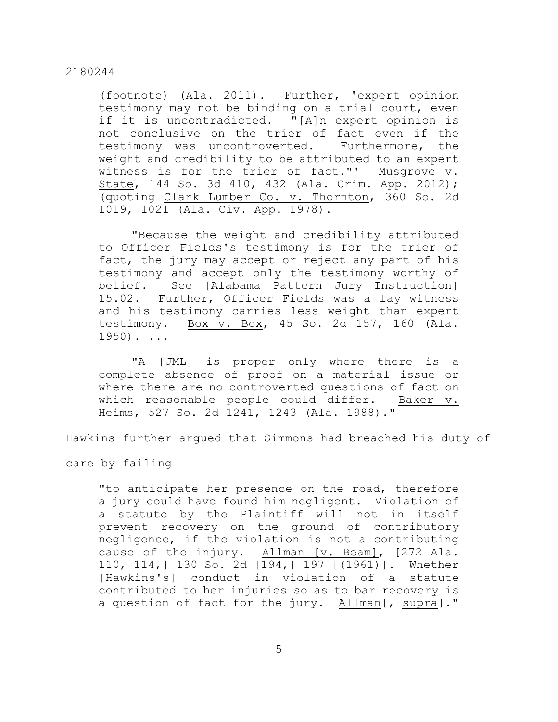(footnote) (Ala. 2011). Further, 'expert opinion testimony may not be binding on a trial court, even if it is uncontradicted. "[A]n expert opinion is not conclusive on the trier of fact even if the testimony was uncontroverted. Furthermore, the weight and credibility to be attributed to an expert witness is for the trier of fact."' Musgrove v. State, 144 So. 3d 410, 432 (Ala. Crim. App. 2012); (quoting Clark Lumber Co. v. Thornton, 360 So. 2d 1019, 1021 (Ala. Civ. App. 1978).

"Because the weight and credibility attributed to Officer Fields's testimony is for the trier of fact, the jury may accept or reject any part of his testimony and accept only the testimony worthy of belief. See [Alabama Pattern Jury Instruction] 15.02. Further, Officer Fields was a lay witness and his testimony carries less weight than expert testimony. Box v. Box, 45 So. 2d 157, 160 (Ala.  $1950$ ). ...

"A [JML] is proper only where there is a complete absence of proof on a material issue or where there are no controverted questions of fact on which reasonable people could differ. Baker v. Heims, 527 So. 2d 1241, 1243 (Ala. 1988)."

Hawkins further argued that Simmons had breached his duty of

care by failing

"to anticipate her presence on the road, therefore a jury could have found him negligent. Violation of a statute by the Plaintiff will not in itself prevent recovery on the ground of contributory negligence, if the violation is not a contributing cause of the injury. Allman [v. Beam], [272 Ala. 110, 114,] 130 So. 2d [194,] 197 [(1961)]. Whether [Hawkins's] conduct in violation of a statute contributed to her injuries so as to bar recovery is a question of fact for the jury. Allman[, supra]."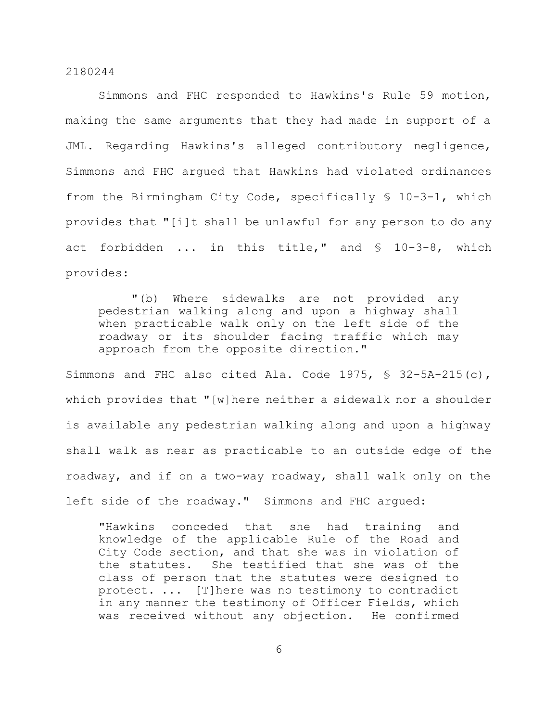Simmons and FHC responded to Hawkins's Rule 59 motion, making the same arguments that they had made in support of a JML. Regarding Hawkins's alleged contributory negligence, Simmons and FHC argued that Hawkins had violated ordinances from the Birmingham City Code, specifically § 10-3-1, which provides that "[i]t shall be unlawful for any person to do any act forbidden ... in this title," and § 10-3-8, which provides:

"(b) Where sidewalks are not provided any pedestrian walking along and upon a highway shall when practicable walk only on the left side of the roadway or its shoulder facing traffic which may approach from the opposite direction."

Simmons and FHC also cited Ala. Code 1975, § 32-5A-215(c), which provides that "[w]here neither a sidewalk nor a shoulder is available any pedestrian walking along and upon a highway shall walk as near as practicable to an outside edge of the roadway, and if on a two-way roadway, shall walk only on the left side of the roadway." Simmons and FHC argued:

"Hawkins conceded that she had training and knowledge of the applicable Rule of the Road and City Code section, and that she was in violation of the statutes. She testified that she was of the class of person that the statutes were designed to protect. ... [T]here was no testimony to contradict in any manner the testimony of Officer Fields, which was received without any objection. He confirmed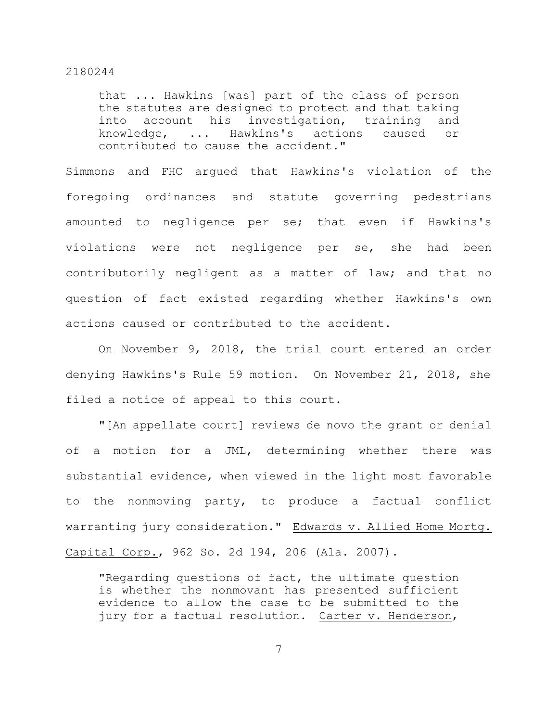that ... Hawkins [was] part of the class of person the statutes are designed to protect and that taking into account his investigation, training and knowledge, ... Hawkins's actions caused or contributed to cause the accident."

Simmons and FHC argued that Hawkins's violation of the foregoing ordinances and statute governing pedestrians amounted to negligence per se; that even if Hawkins's violations were not negligence per se, she had been contributorily negligent as a matter of law; and that no question of fact existed regarding whether Hawkins's own actions caused or contributed to the accident.

On November 9, 2018, the trial court entered an order denying Hawkins's Rule 59 motion. On November 21, 2018, she filed a notice of appeal to this court.

"[An appellate court] reviews de novo the grant or denial of a motion for a JML, determining whether there was substantial evidence, when viewed in the light most favorable to the nonmoving party, to produce a factual conflict warranting jury consideration." Edwards v. Allied Home Mortg. Capital Corp., 962 So. 2d 194, 206 (Ala. 2007).

"Regarding questions of fact, the ultimate question is whether the nonmovant has presented sufficient evidence to allow the case to be submitted to the jury for a factual resolution. Carter v. Henderson,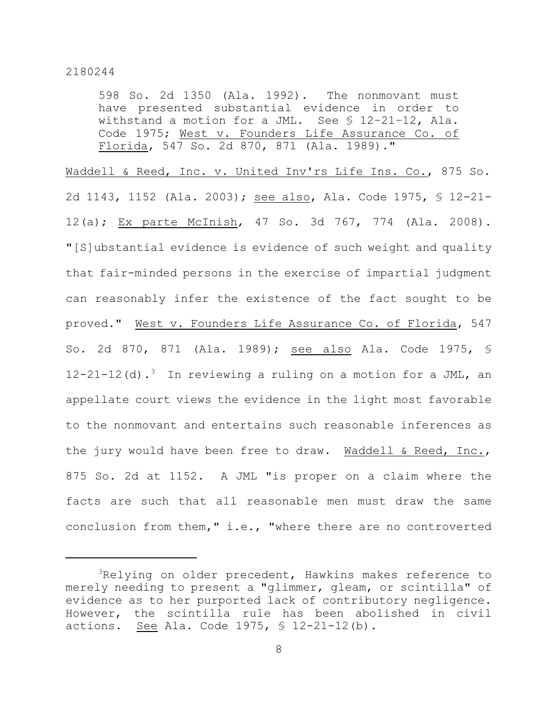598 So. 2d 1350 (Ala. 1992). The nonmovant must have presented substantial evidence in order to withstand a motion for a JML. See § 12–21–12, Ala. Code 1975; West v. Founders Life Assurance Co. of Florida, 547 So. 2d 870, 871 (Ala. 1989)."

Waddell & Reed, Inc. v. United Inv'rs Life Ins. Co., 875 So. 2d 1143, 1152 (Ala. 2003); see also, Ala. Code 1975, § 12-21- 12(a); Ex parte McInish, 47 So. 3d 767, 774 (Ala. 2008). "[S]ubstantial evidence is evidence of such weight and quality that fair-minded persons in the exercise of impartial judgment can reasonably infer the existence of the fact sought to be proved." West v. Founders Life Assurance Co. of Florida, 547 So. 2d 870, 871 (Ala. 1989); see also Ala. Code 1975, § 12-21-12(d).<sup>3</sup> In reviewing a ruling on a motion for a JML, an appellate court views the evidence in the light most favorable to the nonmovant and entertains such reasonable inferences as the jury would have been free to draw. Waddell & Reed, Inc., 875 So. 2d at 1152. A JML "is proper on a claim where the facts are such that all reasonable men must draw the same conclusion from them," i.e., "where there are no controverted

<sup>&</sup>lt;sup>3</sup>Relying on older precedent, Hawkins makes reference to merely needing to present a "glimmer, gleam, or scintilla" of evidence as to her purported lack of contributory negligence. However, the scintilla rule has been abolished in civil actions. See Ala. Code 1975, § 12-21-12(b).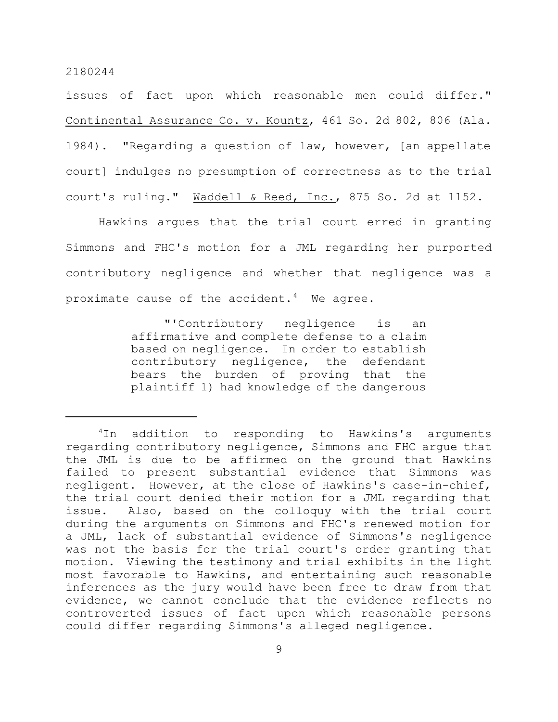issues of fact upon which reasonable men could differ." Continental Assurance Co. v. Kountz, 461 So. 2d 802, 806 (Ala. 1984). "Regarding a question of law, however, [an appellate court] indulges no presumption of correctness as to the trial court's ruling." Waddell & Reed, Inc., 875 So. 2d at 1152.

Hawkins argues that the trial court erred in granting Simmons and FHC's motion for a JML regarding her purported contributory negligence and whether that negligence was a proximate cause of the accident.<sup>4</sup> We agree.

> "'Contributory negligence is an affirmative and complete defense to a claim based on negligence. In order to establish contributory negligence, the defendant bears the burden of proving that the plaintiff 1) had knowledge of the dangerous

<sup>&</sup>lt;sup>4</sup>In addition to responding to Hawkins's arguments regarding contributory negligence, Simmons and FHC argue that the JML is due to be affirmed on the ground that Hawkins failed to present substantial evidence that Simmons was negligent. However, at the close of Hawkins's case-in-chief, the trial court denied their motion for a JML regarding that issue. Also, based on the colloquy with the trial court during the arguments on Simmons and FHC's renewed motion for a JML, lack of substantial evidence of Simmons's negligence was not the basis for the trial court's order granting that motion. Viewing the testimony and trial exhibits in the light most favorable to Hawkins, and entertaining such reasonable inferences as the jury would have been free to draw from that evidence, we cannot conclude that the evidence reflects no controverted issues of fact upon which reasonable persons could differ regarding Simmons's alleged negligence.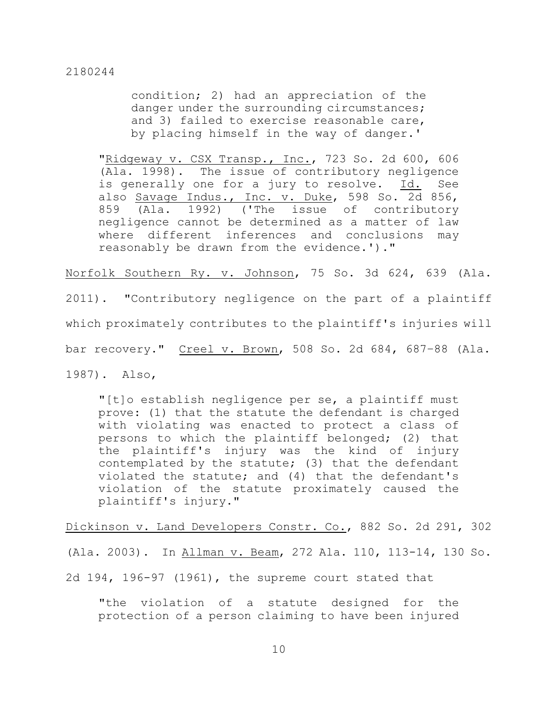condition; 2) had an appreciation of the danger under the surrounding circumstances; and 3) failed to exercise reasonable care, by placing himself in the way of danger.'

"Ridgeway v. CSX Transp., Inc., 723 So. 2d 600, 606 (Ala. 1998). The issue of contributory negligence is generally one for a jury to resolve. Id. See also Savage Indus., Inc. v. Duke, 598 So. 2d 856, 859 (Ala. 1992) ('The issue of contributory negligence cannot be determined as a matter of law where different inferences and conclusions may reasonably be drawn from the evidence.')."

Norfolk Southern Ry. v. Johnson, 75 So. 3d 624, 639 (Ala.

2011). "Contributory negligence on the part of a plaintiff which proximately contributes to the plaintiff's injuries will bar recovery." Creel v. Brown, 508 So. 2d 684, 687–88 (Ala.

1987). Also,

"[t]o establish negligence per se, a plaintiff must prove: (1) that the statute the defendant is charged with violating was enacted to protect a class of persons to which the plaintiff belonged; (2) that the plaintiff's injury was the kind of injury contemplated by the statute; (3) that the defendant violated the statute; and (4) that the defendant's violation of the statute proximately caused the plaintiff's injury."

Dickinson v. Land Developers Constr. Co., 882 So. 2d 291, 302

(Ala. 2003). In Allman v. Beam, 272 Ala. 110, 113-14, 130 So.

2d 194, 196-97 (1961), the supreme court stated that

"the violation of a statute designed for the protection of a person claiming to have been injured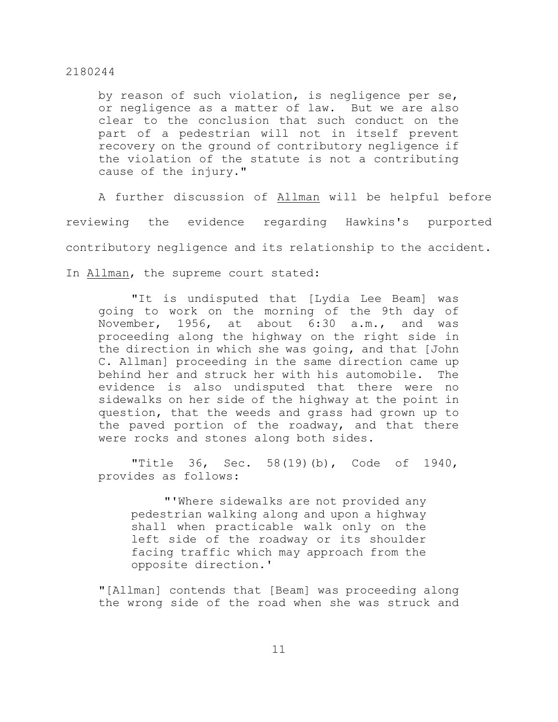by reason of such violation, is negligence per se, or negligence as a matter of law. But we are also clear to the conclusion that such conduct on the part of a pedestrian will not in itself prevent recovery on the ground of contributory negligence if the violation of the statute is not a contributing cause of the injury."

A further discussion of Allman will be helpful before reviewing the evidence regarding Hawkins's purported contributory negligence and its relationship to the accident. In Allman, the supreme court stated:

"It is undisputed that [Lydia Lee Beam] was going to work on the morning of the 9th day of November, 1956, at about 6:30 a.m., and was proceeding along the highway on the right side in the direction in which she was going, and that [John C. Allman] proceeding in the same direction came up behind her and struck her with his automobile. The evidence is also undisputed that there were no sidewalks on her side of the highway at the point in question, that the weeds and grass had grown up to the paved portion of the roadway, and that there were rocks and stones along both sides.

"Title 36, Sec. 58(19)(b), Code of 1940, provides as follows:

"'Where sidewalks are not provided any pedestrian walking along and upon a highway shall when practicable walk only on the left side of the roadway or its shoulder facing traffic which may approach from the opposite direction.'

"[Allman] contends that [Beam] was proceeding along the wrong side of the road when she was struck and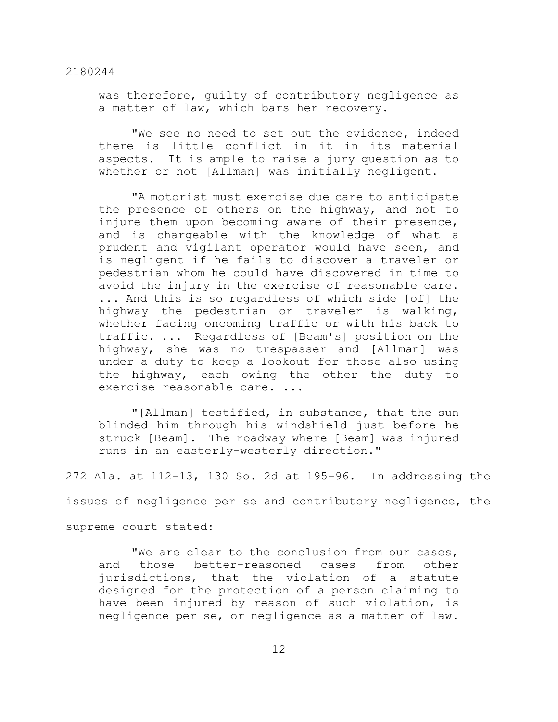was therefore, guilty of contributory negligence as a matter of law, which bars her recovery.

"We see no need to set out the evidence, indeed there is little conflict in it in its material aspects. It is ample to raise a jury question as to whether or not [Allman] was initially negligent.

"A motorist must exercise due care to anticipate the presence of others on the highway, and not to injure them upon becoming aware of their presence, and is chargeable with the knowledge of what a prudent and vigilant operator would have seen, and is negligent if he fails to discover a traveler or pedestrian whom he could have discovered in time to avoid the injury in the exercise of reasonable care. ... And this is so regardless of which side [of] the highway the pedestrian or traveler is walking, whether facing oncoming traffic or with his back to traffic. ... Regardless of [Beam's] position on the highway, she was no trespasser and [Allman] was under a duty to keep a lookout for those also using the highway, each owing the other the duty to exercise reasonable care. ...

"[Allman] testified, in substance, that the sun blinded him through his windshield just before he struck [Beam]. The roadway where [Beam] was injured runs in an easterly-westerly direction."

272 Ala. at 112–13, 130 So. 2d at 195–96. In addressing the

issues of negligence per se and contributory negligence, the

supreme court stated:

"We are clear to the conclusion from our cases, and those better-reasoned cases from other jurisdictions, that the violation of a statute designed for the protection of a person claiming to have been injured by reason of such violation, is negligence per se, or negligence as a matter of law.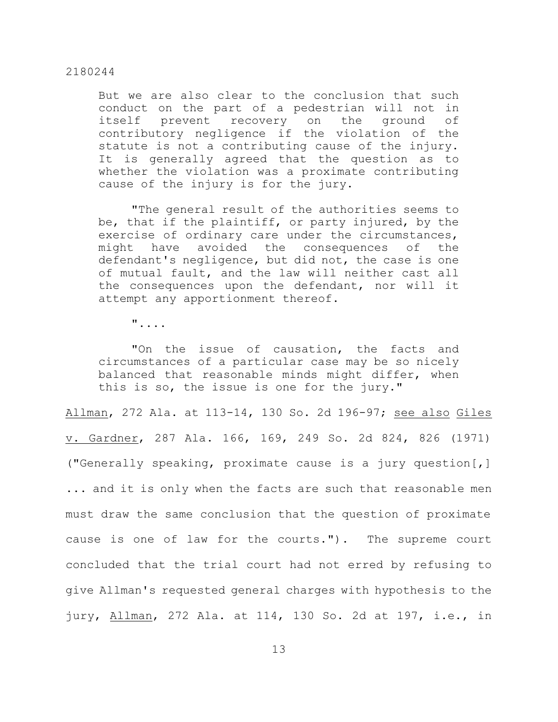But we are also clear to the conclusion that such conduct on the part of a pedestrian will not in itself prevent recovery on the ground of contributory negligence if the violation of the statute is not a contributing cause of the injury. It is generally agreed that the question as to whether the violation was a proximate contributing cause of the injury is for the jury.

"The general result of the authorities seems to be, that if the plaintiff, or party injured, by the exercise of ordinary care under the circumstances, might have avoided the consequences of the defendant's negligence, but did not, the case is one of mutual fault, and the law will neither cast all the consequences upon the defendant, nor will it attempt any apportionment thereof.

"....

"On the issue of causation, the facts and circumstances of a particular case may be so nicely balanced that reasonable minds might differ, when this is so, the issue is one for the jury."

Allman, 272 Ala. at 113-14, 130 So. 2d 196-97; see also Giles v. Gardner, 287 Ala. 166, 169, 249 So. 2d 824, 826 (1971) ("Generally speaking, proximate cause is a jury question[,] ... and it is only when the facts are such that reasonable men must draw the same conclusion that the question of proximate cause is one of law for the courts."). The supreme court concluded that the trial court had not erred by refusing to give Allman's requested general charges with hypothesis to the jury, Allman, 272 Ala. at 114, 130 So. 2d at 197, i.e., in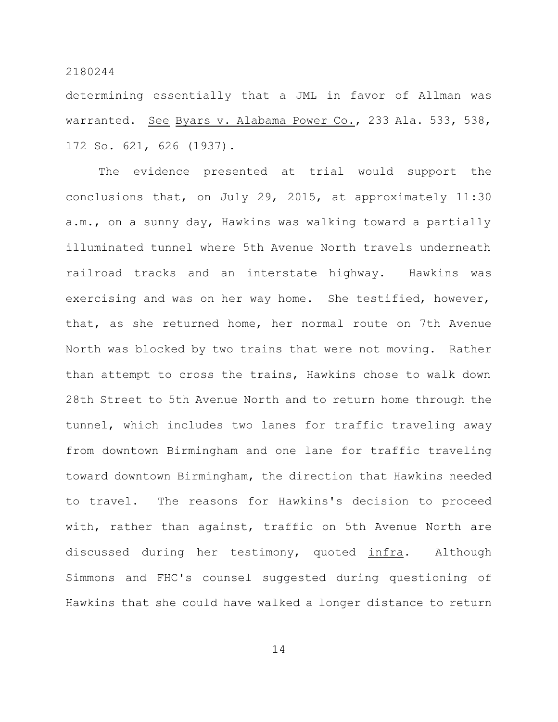determining essentially that a JML in favor of Allman was warranted. See Byars v. Alabama Power Co., 233 Ala. 533, 538, 172 So. 621, 626 (1937).

The evidence presented at trial would support the conclusions that, on July 29, 2015, at approximately 11:30 a.m., on a sunny day, Hawkins was walking toward a partially illuminated tunnel where 5th Avenue North travels underneath railroad tracks and an interstate highway. Hawkins was exercising and was on her way home. She testified, however, that, as she returned home, her normal route on 7th Avenue North was blocked by two trains that were not moving. Rather than attempt to cross the trains, Hawkins chose to walk down 28th Street to 5th Avenue North and to return home through the tunnel, which includes two lanes for traffic traveling away from downtown Birmingham and one lane for traffic traveling toward downtown Birmingham, the direction that Hawkins needed to travel. The reasons for Hawkins's decision to proceed with, rather than against, traffic on 5th Avenue North are discussed during her testimony, quoted infra. Although Simmons and FHC's counsel suggested during questioning of Hawkins that she could have walked a longer distance to return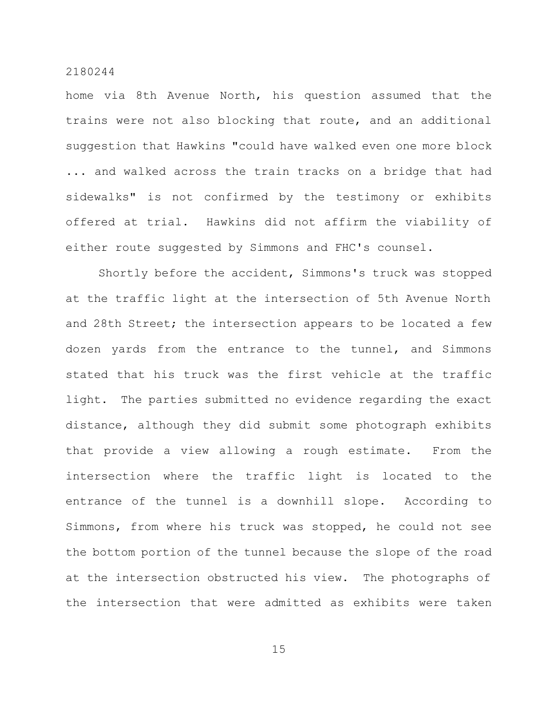home via 8th Avenue North, his question assumed that the trains were not also blocking that route, and an additional suggestion that Hawkins "could have walked even one more block ... and walked across the train tracks on a bridge that had sidewalks" is not confirmed by the testimony or exhibits offered at trial. Hawkins did not affirm the viability of either route suggested by Simmons and FHC's counsel.

Shortly before the accident, Simmons's truck was stopped at the traffic light at the intersection of 5th Avenue North and 28th Street; the intersection appears to be located a few dozen yards from the entrance to the tunnel, and Simmons stated that his truck was the first vehicle at the traffic light. The parties submitted no evidence regarding the exact distance, although they did submit some photograph exhibits that provide a view allowing a rough estimate. From the intersection where the traffic light is located to the entrance of the tunnel is a downhill slope. According to Simmons, from where his truck was stopped, he could not see the bottom portion of the tunnel because the slope of the road at the intersection obstructed his view. The photographs of the intersection that were admitted as exhibits were taken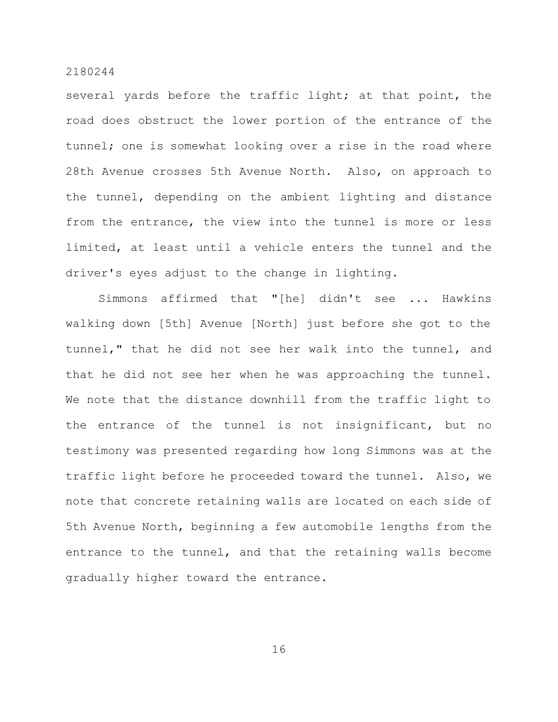several yards before the traffic light; at that point, the road does obstruct the lower portion of the entrance of the tunnel; one is somewhat looking over a rise in the road where 28th Avenue crosses 5th Avenue North. Also, on approach to the tunnel, depending on the ambient lighting and distance from the entrance, the view into the tunnel is more or less limited, at least until a vehicle enters the tunnel and the driver's eyes adjust to the change in lighting.

Simmons affirmed that "[he] didn't see ... Hawkins walking down [5th] Avenue [North] just before she got to the tunnel," that he did not see her walk into the tunnel, and that he did not see her when he was approaching the tunnel. We note that the distance downhill from the traffic light to the entrance of the tunnel is not insignificant, but no testimony was presented regarding how long Simmons was at the traffic light before he proceeded toward the tunnel. Also, we note that concrete retaining walls are located on each side of 5th Avenue North, beginning a few automobile lengths from the entrance to the tunnel, and that the retaining walls become gradually higher toward the entrance.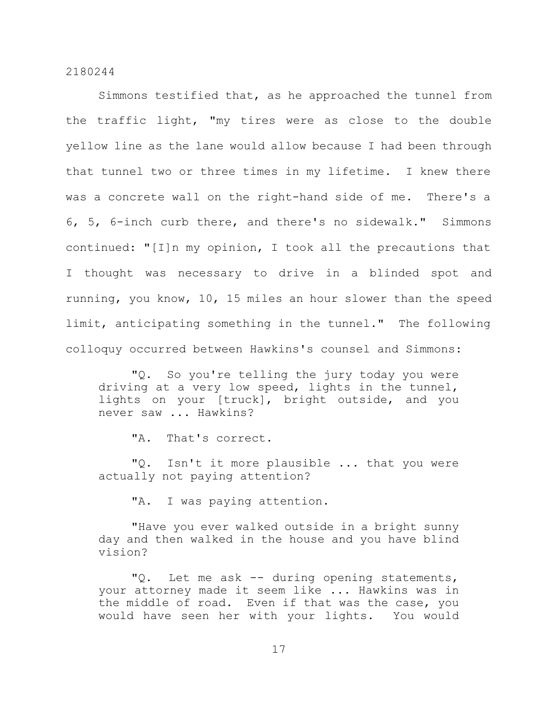Simmons testified that, as he approached the tunnel from the traffic light, "my tires were as close to the double yellow line as the lane would allow because I had been through that tunnel two or three times in my lifetime. I knew there was a concrete wall on the right-hand side of me. There's a 6, 5, 6-inch curb there, and there's no sidewalk." Simmons continued: "[I]n my opinion, I took all the precautions that I thought was necessary to drive in a blinded spot and running, you know, 10, 15 miles an hour slower than the speed limit, anticipating something in the tunnel." The following colloquy occurred between Hawkins's counsel and Simmons:

"Q. So you're telling the jury today you were driving at a very low speed, lights in the tunnel, lights on your [truck], bright outside, and you never saw ... Hawkins?

"A. That's correct.

"Q. Isn't it more plausible ... that you were actually not paying attention?

"A. I was paying attention.

"Have you ever walked outside in a bright sunny day and then walked in the house and you have blind vision?

"Q. Let me ask -- during opening statements, your attorney made it seem like ... Hawkins was in the middle of road. Even if that was the case, you would have seen her with your lights. You would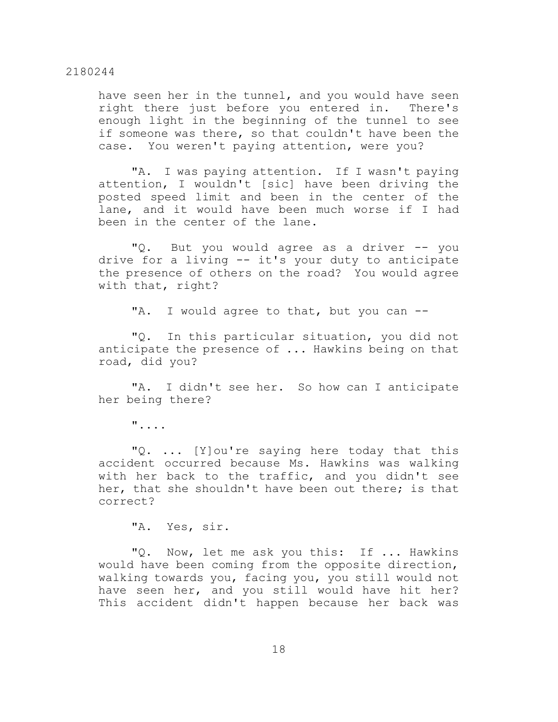have seen her in the tunnel, and you would have seen right there just before you entered in. There's enough light in the beginning of the tunnel to see if someone was there, so that couldn't have been the case. You weren't paying attention, were you?

"A. I was paying attention. If I wasn't paying attention, I wouldn't [sic] have been driving the posted speed limit and been in the center of the lane, and it would have been much worse if I had been in the center of the lane.

"Q. But you would agree as a driver -- you drive for a living -- it's your duty to anticipate the presence of others on the road? You would agree with that, right?

"A. I would agree to that, but you can --

"Q. In this particular situation, you did not anticipate the presence of ... Hawkins being on that road, did you?

"A. I didn't see her. So how can I anticipate her being there?

"....

"Q. ... [Y]ou're saying here today that this accident occurred because Ms. Hawkins was walking with her back to the traffic, and you didn't see her, that she shouldn't have been out there; is that correct?

"A. Yes, sir.

"Q. Now, let me ask you this: If ... Hawkins would have been coming from the opposite direction, walking towards you, facing you, you still would not have seen her, and you still would have hit her? This accident didn't happen because her back was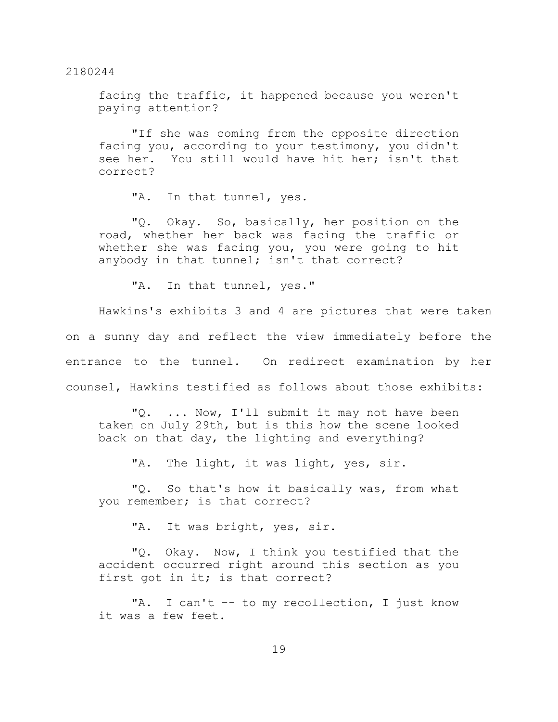facing the traffic, it happened because you weren't paying attention?

"If she was coming from the opposite direction facing you, according to your testimony, you didn't see her. You still would have hit her; isn't that correct?

"A. In that tunnel, yes.

"Q. Okay. So, basically, her position on the road, whether her back was facing the traffic or whether she was facing you, you were going to hit anybody in that tunnel; isn't that correct?

"A. In that tunnel, yes."

Hawkins's exhibits 3 and 4 are pictures that were taken on a sunny day and reflect the view immediately before the entrance to the tunnel. On redirect examination by her counsel, Hawkins testified as follows about those exhibits:

"Q. ... Now, I'll submit it may not have been taken on July 29th, but is this how the scene looked back on that day, the lighting and everything?

"A. The light, it was light, yes, sir.

"Q. So that's how it basically was, from what you remember; is that correct?

"A. It was bright, yes, sir.

"Q. Okay. Now, I think you testified that the accident occurred right around this section as you first got in it; is that correct?

"A. I can't -- to my recollection, I just know it was a few feet.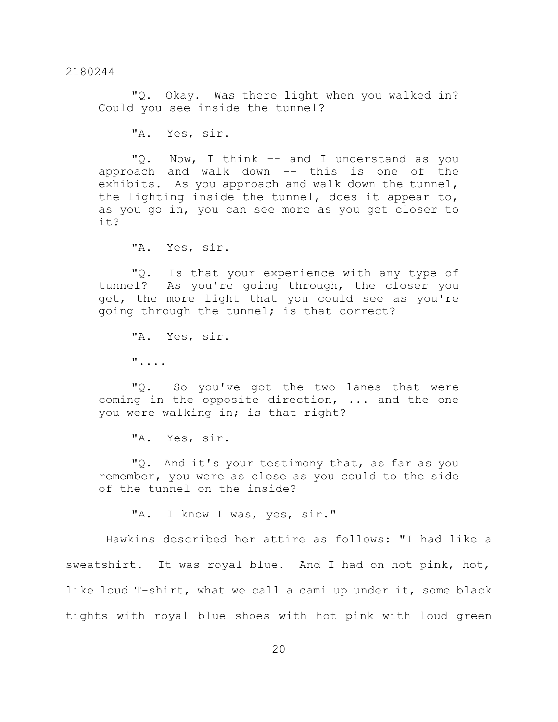"Q. Okay. Was there light when you walked in? Could you see inside the tunnel?

"A. Yes, sir.

"Q. Now, I think -- and I understand as you approach and walk down -- this is one of the exhibits. As you approach and walk down the tunnel, the lighting inside the tunnel, does it appear to, as you go in, you can see more as you get closer to it?

"A. Yes, sir.

"Q. Is that your experience with any type of tunnel? As you're going through, the closer you get, the more light that you could see as you're going through the tunnel; is that correct?

"A. Yes, sir. "....

"Q. So you've got the two lanes that were coming in the opposite direction, ... and the one you were walking in; is that right?

"A. Yes, sir.

"Q. And it's your testimony that, as far as you remember, you were as close as you could to the side of the tunnel on the inside?

"A. I know I was, yes, sir."

Hawkins described her attire as follows: "I had like a sweatshirt. It was royal blue. And I had on hot pink, hot, like loud T-shirt, what we call a cami up under it, some black tights with royal blue shoes with hot pink with loud green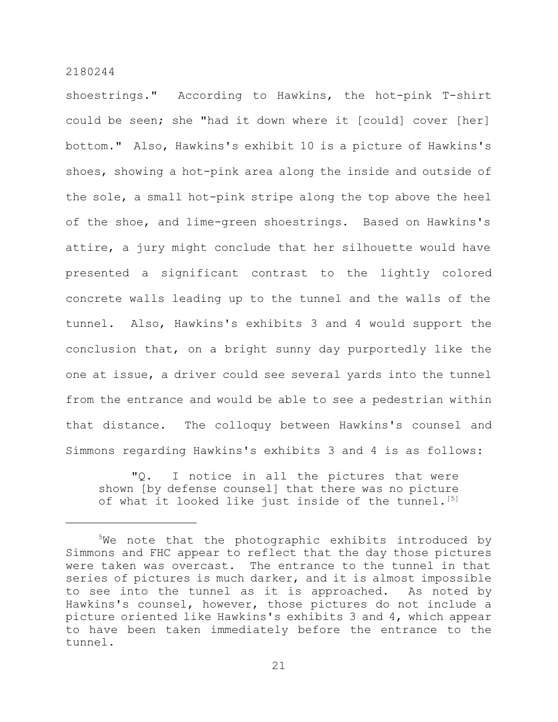shoestrings." According to Hawkins, the hot-pink T-shirt could be seen; she "had it down where it [could] cover [her] bottom." Also, Hawkins's exhibit 10 is a picture of Hawkins's shoes, showing a hot-pink area along the inside and outside of the sole, a small hot-pink stripe along the top above the heel of the shoe, and lime-green shoestrings. Based on Hawkins's attire, a jury might conclude that her silhouette would have presented a significant contrast to the lightly colored concrete walls leading up to the tunnel and the walls of the tunnel. Also, Hawkins's exhibits 3 and 4 would support the conclusion that, on a bright sunny day purportedly like the one at issue, a driver could see several yards into the tunnel from the entrance and would be able to see a pedestrian within that distance. The colloquy between Hawkins's counsel and Simmons regarding Hawkins's exhibits 3 and 4 is as follows:

"Q. I notice in all the pictures that were shown [by defense counsel] that there was no picture of what it looked like just inside of the tunnel.<sup>[5]</sup>

<sup>&</sup>lt;sup>5</sup>We note that the photographic exhibits introduced by Simmons and FHC appear to reflect that the day those pictures were taken was overcast. The entrance to the tunnel in that series of pictures is much darker, and it is almost impossible to see into the tunnel as it is approached. As noted by Hawkins's counsel, however, those pictures do not include a picture oriented like Hawkins's exhibits 3 and 4, which appear to have been taken immediately before the entrance to the tunnel.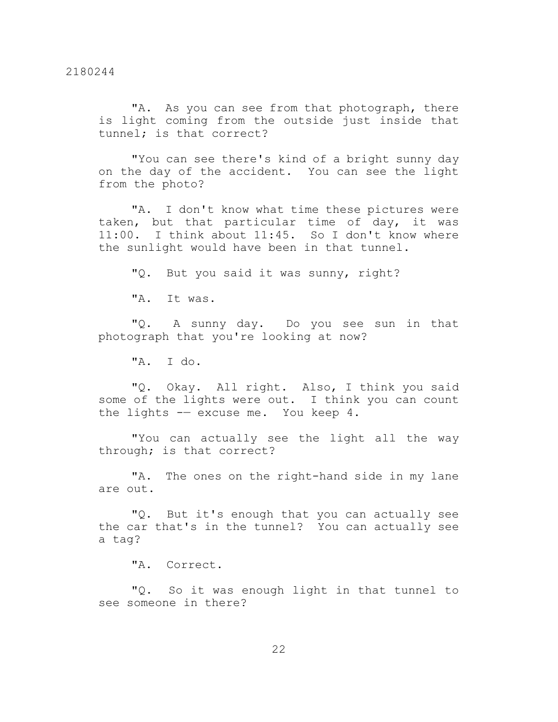"A. As you can see from that photograph, there is light coming from the outside just inside that tunnel; is that correct?

"You can see there's kind of a bright sunny day on the day of the accident. You can see the light from the photo?

"A. I don't know what time these pictures were taken, but that particular time of day, it was 11:00. I think about 11:45. So I don't know where the sunlight would have been in that tunnel.

"Q. But you said it was sunny, right?

"A. It was.

"Q. A sunny day. Do you see sun in that photograph that you're looking at now?

"A. I do.

"Q. Okay. All right. Also, I think you said some of the lights were out. I think you can count the lights -— excuse me. You keep 4.

"You can actually see the light all the way through; is that correct?

"A. The ones on the right-hand side in my lane are out.

"Q. But it's enough that you can actually see the car that's in the tunnel? You can actually see a tag?

"A. Correct.

"Q. So it was enough light in that tunnel to see someone in there?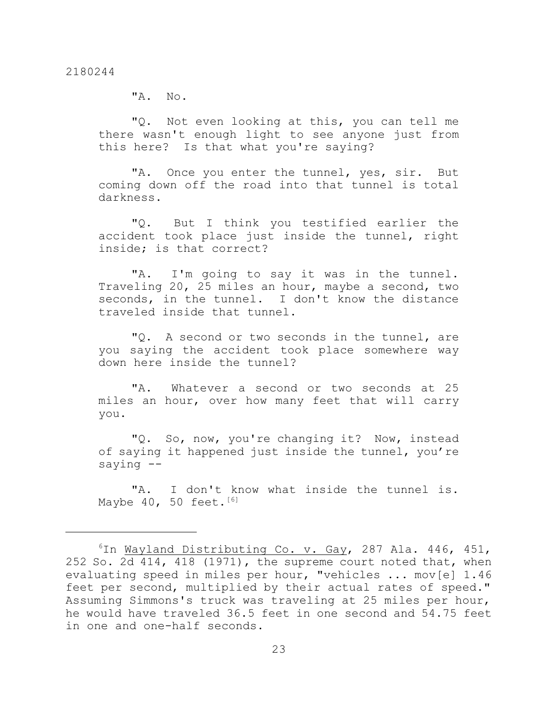"A. No.

"Q. Not even looking at this, you can tell me there wasn't enough light to see anyone just from this here? Is that what you're saying?

"A. Once you enter the tunnel, yes, sir. But coming down off the road into that tunnel is total darkness.

"Q. But I think you testified earlier the accident took place just inside the tunnel, right inside; is that correct?

"A. I'm going to say it was in the tunnel. Traveling 20, 25 miles an hour, maybe a second, two seconds, in the tunnel. I don't know the distance traveled inside that tunnel.

"Q. A second or two seconds in the tunnel, are you saying the accident took place somewhere way down here inside the tunnel?

"A. Whatever a second or two seconds at 25 miles an hour, over how many feet that will carry you.

"Q. So, now, you're changing it? Now, instead of saying it happened just inside the tunnel, you're saying --

"A. I don't know what inside the tunnel is. Maybe  $40$ , 50 feet.<sup>[6]</sup>

 $6$ In Wayland Distributing Co. v. Gay, 287 Ala. 446, 451, 252 So. 2d 414, 418 (1971), the supreme court noted that, when evaluating speed in miles per hour, "vehicles ... mov[e] 1.46 feet per second, multiplied by their actual rates of speed." Assuming Simmons's truck was traveling at 25 miles per hour, he would have traveled 36.5 feet in one second and 54.75 feet in one and one-half seconds.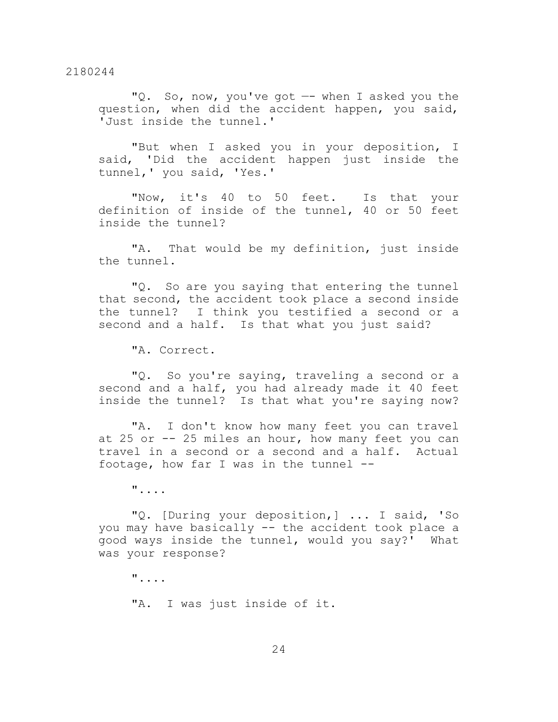"Q. So, now, you've got —- when I asked you the question, when did the accident happen, you said, 'Just inside the tunnel.'

"But when I asked you in your deposition, I said, 'Did the accident happen just inside the tunnel,' you said, 'Yes.'

"Now, it's 40 to 50 feet. Is that your definition of inside of the tunnel, 40 or 50 feet inside the tunnel?

"A. That would be my definition, just inside the tunnel.

"Q. So are you saying that entering the tunnel that second, the accident took place a second inside the tunnel? I think you testified a second or a second and a half. Is that what you just said?

"A. Correct.

"Q. So you're saying, traveling a second or a second and a half, you had already made it 40 feet inside the tunnel? Is that what you're saying now?

"A. I don't know how many feet you can travel at  $25$  or  $25$  miles an hour, how many feet you can travel in a second or a second and a half. Actual footage, how far I was in the tunnel --

"....

"Q. [During your deposition,] ... I said, 'So you may have basically -- the accident took place a good ways inside the tunnel, would you say?' What was your response?

"....

"A. I was just inside of it.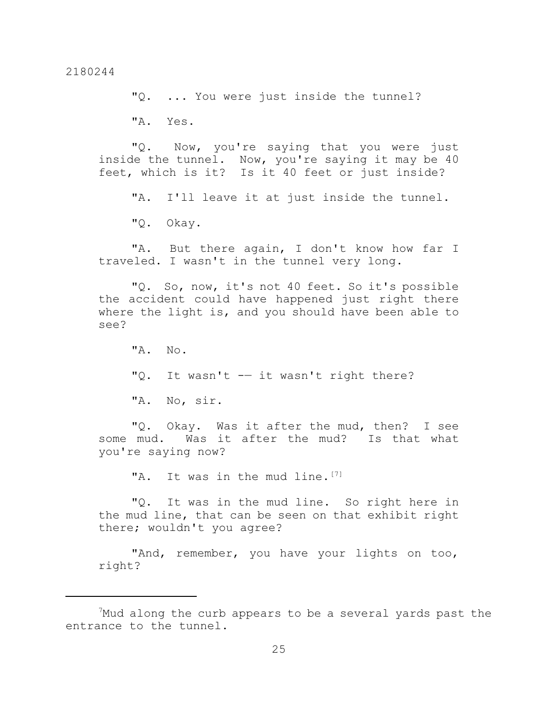"Q. ... You were just inside the tunnel?

"A. Yes.

"Q. Now, you're saying that you were just inside the tunnel. Now, you're saying it may be 40 feet, which is it? Is it 40 feet or just inside?

"A. I'll leave it at just inside the tunnel.

"Q. Okay.

"A. But there again, I don't know how far I traveled. I wasn't in the tunnel very long.

"Q. So, now, it's not 40 feet. So it's possible the accident could have happened just right there where the light is, and you should have been able to see?

 $^{\prime\prime}$ A. No. "Q. It wasn't -- it wasn't right there? "A. No, sir.

"Q. Okay. Was it after the mud, then? I see some mud. Was it after the mud? Is that what you're saying now?

"A. It was in the mud line.<sup>[7]</sup>

"Q. It was in the mud line. So right here in the mud line, that can be seen on that exhibit right there; wouldn't you agree?

"And, remember, you have your lights on too, right?

 $7$ Mud along the curb appears to be a several yards past the entrance to the tunnel.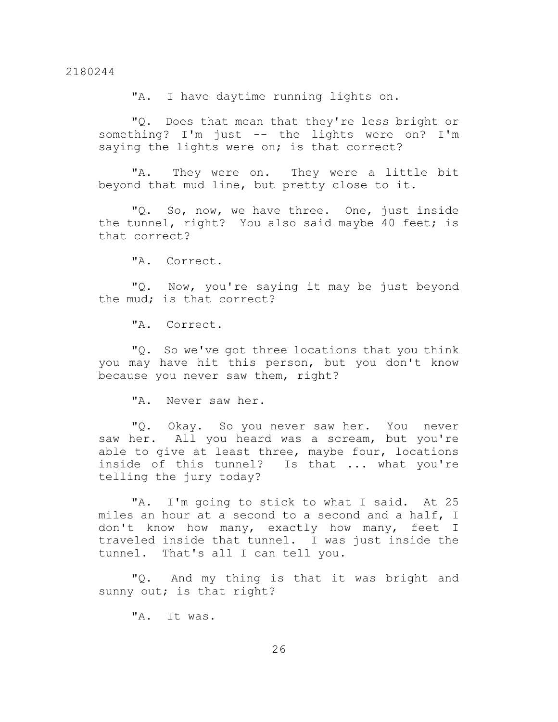"A. I have daytime running lights on.

"Q. Does that mean that they're less bright or something? I'm just -- the lights were on? I'm saying the lights were on; is that correct?

"A. They were on. They were a little bit beyond that mud line, but pretty close to it.

"Q. So, now, we have three. One, just inside the tunnel, right? You also said maybe 40 feet; is that correct?

"A. Correct.

"Q. Now, you're saying it may be just beyond the mud; is that correct?

"A. Correct.

"Q. So we've got three locations that you think you may have hit this person, but you don't know because you never saw them, right?

"A. Never saw her.

"Q. Okay. So you never saw her. You never saw her. All you heard was a scream, but you're able to give at least three, maybe four, locations inside of this tunnel? Is that ... what you're telling the jury today?

"A. I'm going to stick to what I said. At 25 miles an hour at a second to a second and a half, I don't know how many, exactly how many, feet I traveled inside that tunnel. I was just inside the tunnel. That's all I can tell you.

"Q. And my thing is that it was bright and sunny out; is that right?

"A. It was.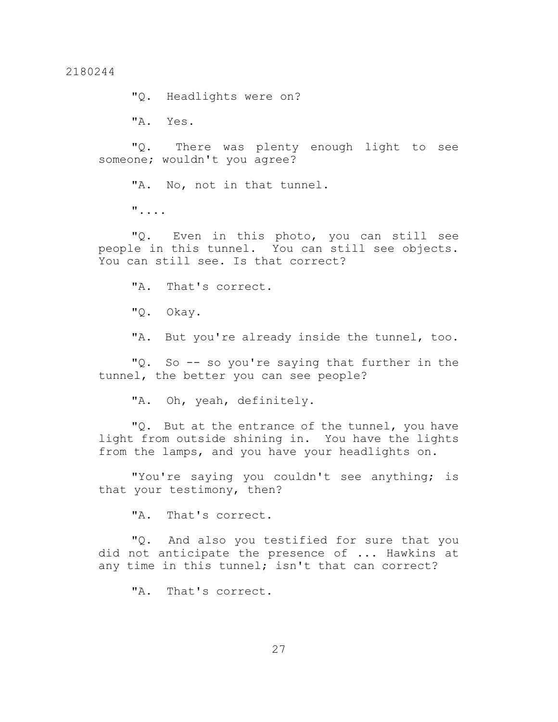"Q. Headlights were on?

"A. Yes.

"Q. There was plenty enough light to see someone; wouldn't you agree?

"A. No, not in that tunnel.

"....

"Q. Even in this photo, you can still see people in this tunnel. You can still see objects. You can still see. Is that correct?

"A. That's correct.

"Q. Okay.

"A. But you're already inside the tunnel, too.

"Q. So -- so you're saying that further in the tunnel, the better you can see people?

"A. Oh, yeah, definitely.

"Q. But at the entrance of the tunnel, you have light from outside shining in. You have the lights from the lamps, and you have your headlights on.

"You're saying you couldn't see anything; is that your testimony, then?

"A. That's correct.

"Q. And also you testified for sure that you did not anticipate the presence of ... Hawkins at any time in this tunnel; isn't that can correct?

"A. That's correct.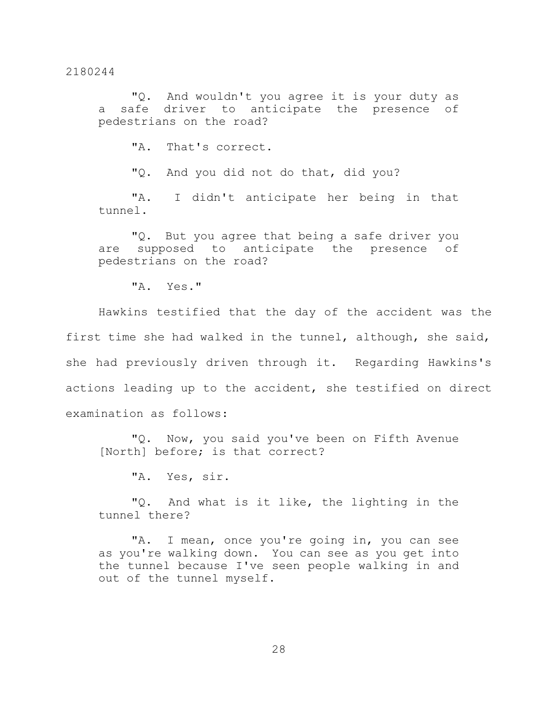"Q. And wouldn't you agree it is your duty as a safe driver to anticipate the presence of pedestrians on the road?

"A. That's correct.

"Q. And you did not do that, did you?

"A. I didn't anticipate her being in that tunnel.

"Q. But you agree that being a safe driver you are supposed to anticipate the presence of pedestrians on the road?

"A. Yes."

Hawkins testified that the day of the accident was the first time she had walked in the tunnel, although, she said, she had previously driven through it. Regarding Hawkins's actions leading up to the accident, she testified on direct examination as follows:

"Q. Now, you said you've been on Fifth Avenue [North] before; is that correct?

"A. Yes, sir.

"Q. And what is it like, the lighting in the tunnel there?

"A. I mean, once you're going in, you can see as you're walking down. You can see as you get into the tunnel because I've seen people walking in and out of the tunnel myself.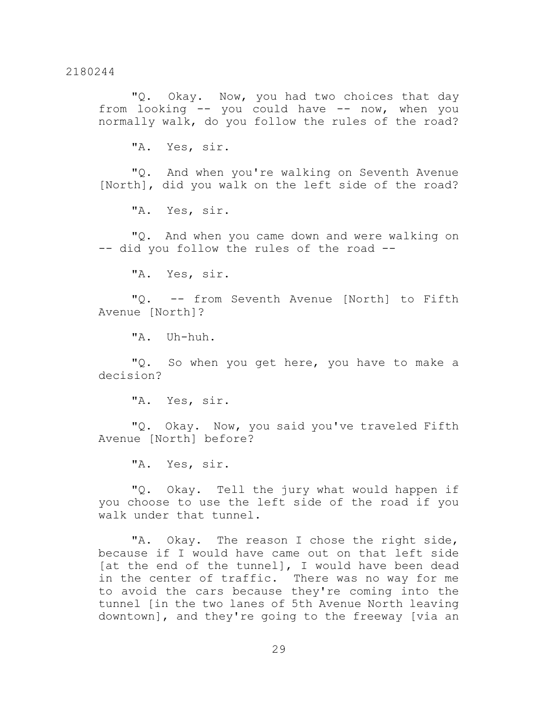"Q. Okay. Now, you had two choices that day from looking -- you could have -- now, when you normally walk, do you follow the rules of the road?

"A. Yes, sir.

"Q. And when you're walking on Seventh Avenue [North], did you walk on the left side of the road?

"A. Yes, sir.

"Q. And when you came down and were walking on -- did you follow the rules of the road --

"A. Yes, sir.

"Q. -- from Seventh Avenue [North] to Fifth Avenue [North]?

"A. Uh-huh.

"Q. So when you get here, you have to make a decision?

"A. Yes, sir.

"Q. Okay. Now, you said you've traveled Fifth Avenue [North] before?

"A. Yes, sir.

"Q. Okay. Tell the jury what would happen if you choose to use the left side of the road if you walk under that tunnel.

"A. Okay. The reason I chose the right side, because if I would have came out on that left side [at the end of the tunnel], I would have been dead in the center of traffic. There was no way for me to avoid the cars because they're coming into the tunnel [in the two lanes of 5th Avenue North leaving downtown], and they're going to the freeway [via an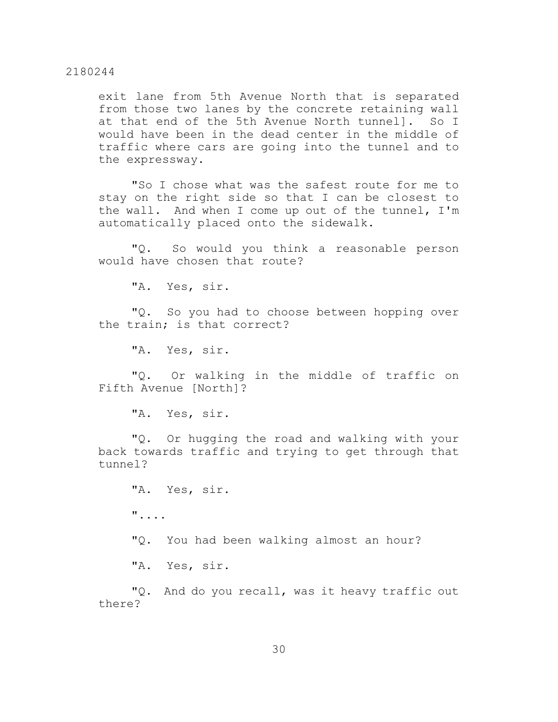exit lane from 5th Avenue North that is separated from those two lanes by the concrete retaining wall at that end of the 5th Avenue North tunnel]. So I would have been in the dead center in the middle of traffic where cars are going into the tunnel and to the expressway.

"So I chose what was the safest route for me to stay on the right side so that I can be closest to the wall. And when I come up out of the tunnel, I'm automatically placed onto the sidewalk.

"Q. So would you think a reasonable person would have chosen that route?

"A. Yes, sir.

"Q. So you had to choose between hopping over the train; is that correct?

"A. Yes, sir.

"Q. Or walking in the middle of traffic on Fifth Avenue [North]?

"A. Yes, sir.

"Q. Or hugging the road and walking with your back towards traffic and trying to get through that tunnel?

"A. Yes, sir. ".... "Q. You had been walking almost an hour?

"A. Yes, sir.

"Q. And do you recall, was it heavy traffic out there?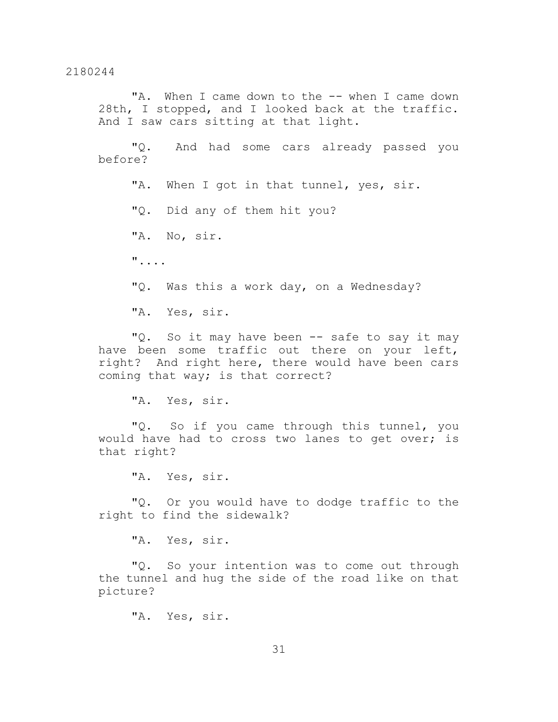"A. When I came down to the -- when I came down 28th, I stopped, and I looked back at the traffic. And I saw cars sitting at that light.

"Q. And had some cars already passed you before?

"A. When I got in that tunnel, yes, sir.

"Q. Did any of them hit you?

"A. No, sir.

"....

"Q. Was this a work day, on a Wednesday?

"A. Yes, sir.

"Q. So it may have been -- safe to say it may have been some traffic out there on your left, right? And right here, there would have been cars coming that way; is that correct?

"A. Yes, sir.

"Q. So if you came through this tunnel, you would have had to cross two lanes to get over; is that right?

"A. Yes, sir.

"Q. Or you would have to dodge traffic to the right to find the sidewalk?

"A. Yes, sir.

"Q. So your intention was to come out through the tunnel and hug the side of the road like on that picture?

"A. Yes, sir.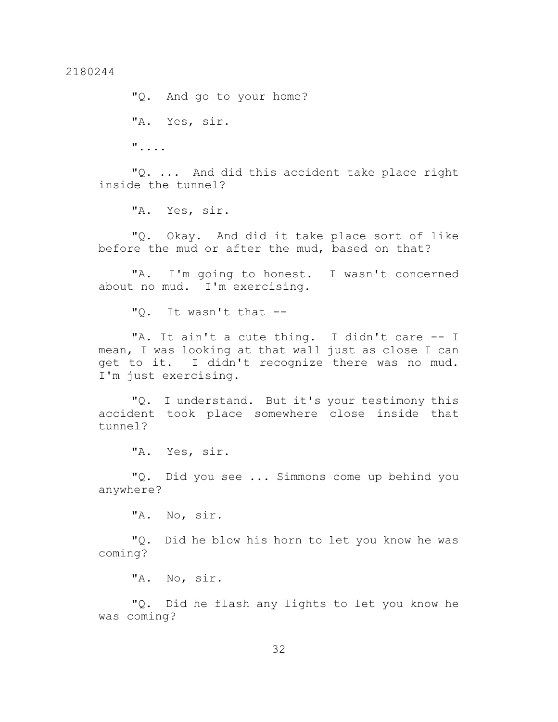"Q. And go to your home? "A. Yes, sir. "....

"Q. ... And did this accident take place right inside the tunnel?

"A. Yes, sir.

"Q. Okay. And did it take place sort of like before the mud or after the mud, based on that?

"A. I'm going to honest. I wasn't concerned about no mud. I'm exercising.

"Q. It wasn't that --

"A. It ain't a cute thing. I didn't care -- I mean, I was looking at that wall just as close I can get to it. I didn't recognize there was no mud. I'm just exercising.

"Q. I understand. But it's your testimony this accident took place somewhere close inside that tunnel?

"A. Yes, sir.

"Q. Did you see ... Simmons come up behind you anywhere?

"A. No, sir.

"Q. Did he blow his horn to let you know he was coming?

"A. No, sir.

"Q. Did he flash any lights to let you know he was coming?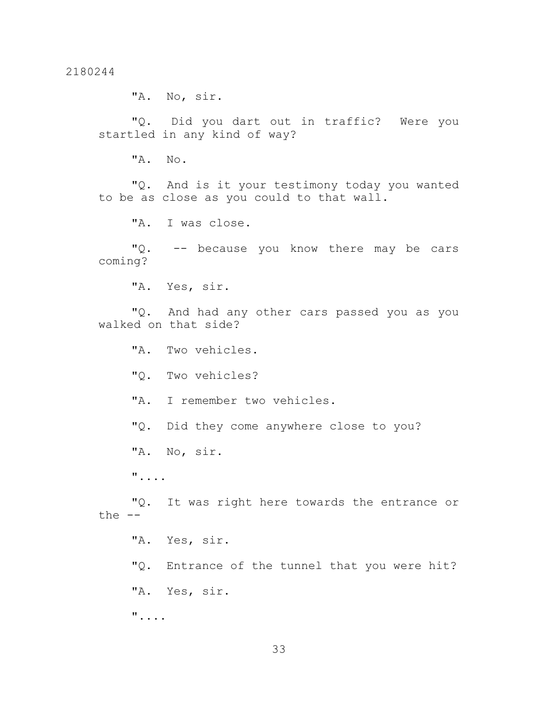"A. No, sir.

"Q. Did you dart out in traffic? Were you startled in any kind of way?

"A. No.

"Q. And is it your testimony today you wanted to be as close as you could to that wall.

"A. I was close.

"Q. -- because you know there may be cars coming?

"A. Yes, sir.

"Q. And had any other cars passed you as you walked on that side?

"A. Two vehicles.

"Q. Two vehicles?

"A. I remember two vehicles.

"Q. Did they come anywhere close to you?

"A. No, sir.

"....

"Q. It was right here towards the entrance or the  $--$ 

"A. Yes, sir. "Q. Entrance of the tunnel that you were hit? "A. Yes, sir. "....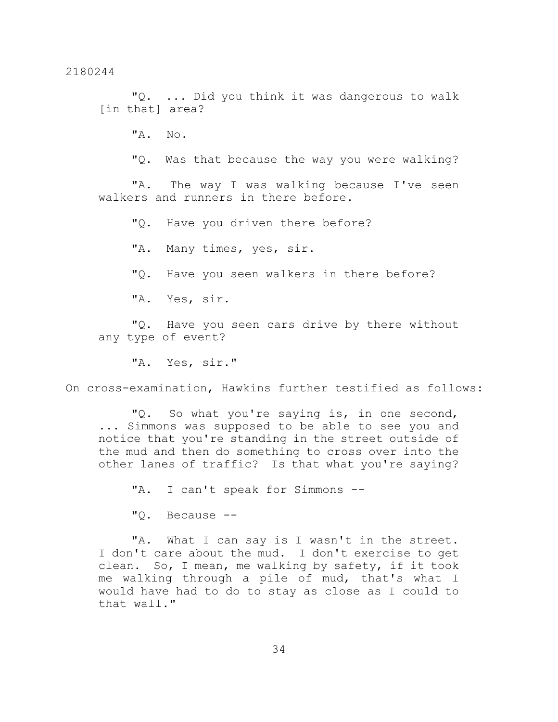"Q. ... Did you think it was dangerous to walk [in that] area?

"A. No.

"Q. Was that because the way you were walking?

"A. The way I was walking because I've seen walkers and runners in there before.

"Q. Have you driven there before?

"A. Many times, yes, sir.

"Q. Have you seen walkers in there before?

"A. Yes, sir.

"Q. Have you seen cars drive by there without any type of event?

"A. Yes, sir."

On cross-examination, Hawkins further testified as follows:

"Q. So what you're saying is, in one second, ... Simmons was supposed to be able to see you and notice that you're standing in the street outside of the mud and then do something to cross over into the other lanes of traffic? Is that what you're saying?

"A. I can't speak for Simmons --

"Q. Because --

"A. What I can say is I wasn't in the street. I don't care about the mud. I don't exercise to get clean. So, I mean, me walking by safety, if it took me walking through a pile of mud, that's what I would have had to do to stay as close as I could to that wall."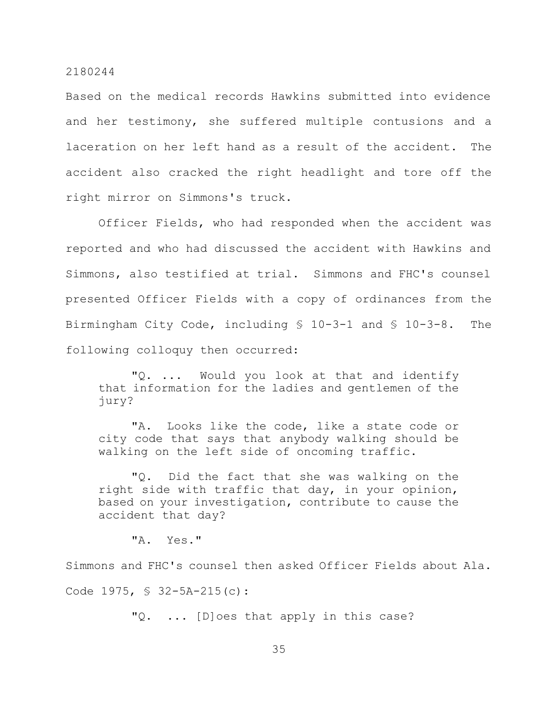Based on the medical records Hawkins submitted into evidence and her testimony, she suffered multiple contusions and a laceration on her left hand as a result of the accident. The accident also cracked the right headlight and tore off the right mirror on Simmons's truck.

Officer Fields, who had responded when the accident was reported and who had discussed the accident with Hawkins and Simmons, also testified at trial. Simmons and FHC's counsel presented Officer Fields with a copy of ordinances from the Birmingham City Code, including § 10-3-1 and § 10-3-8. The following colloquy then occurred:

"Q. ... Would you look at that and identify that information for the ladies and gentlemen of the jury?

"A. Looks like the code, like a state code or city code that says that anybody walking should be walking on the left side of oncoming traffic.

"Q. Did the fact that she was walking on the right side with traffic that day, in your opinion, based on your investigation, contribute to cause the accident that day?

"A. Yes."

Simmons and FHC's counsel then asked Officer Fields about Ala. Code 1975, § 32-5A-215(c):

"Q. ... [D]oes that apply in this case?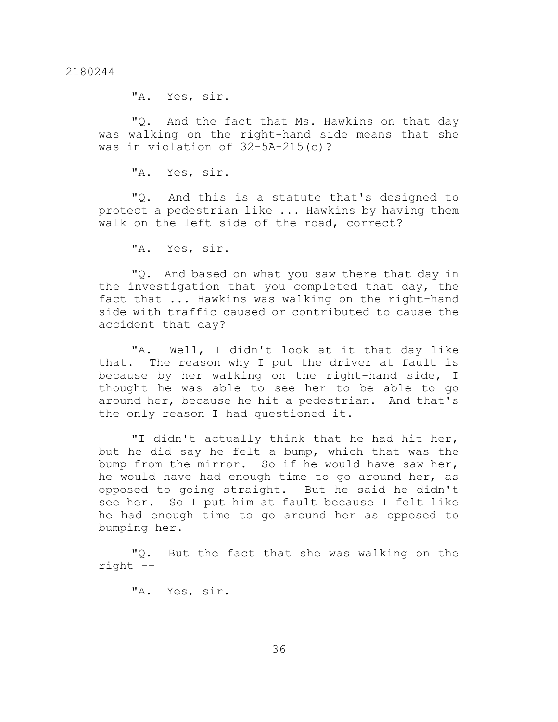"A. Yes, sir.

"Q. And the fact that Ms. Hawkins on that day was walking on the right-hand side means that she was in violation of 32-5A-215(c)?

"A. Yes, sir.

"Q. And this is a statute that's designed to protect a pedestrian like ... Hawkins by having them walk on the left side of the road, correct?

"A. Yes, sir.

"Q. And based on what you saw there that day in the investigation that you completed that day, the fact that ... Hawkins was walking on the right-hand side with traffic caused or contributed to cause the accident that day?

"A. Well, I didn't look at it that day like that. The reason why I put the driver at fault is because by her walking on the right-hand side, I thought he was able to see her to be able to go around her, because he hit a pedestrian. And that's the only reason I had questioned it.

"I didn't actually think that he had hit her, but he did say he felt a bump, which that was the bump from the mirror. So if he would have saw her, he would have had enough time to go around her, as opposed to going straight. But he said he didn't see her. So I put him at fault because I felt like he had enough time to go around her as opposed to bumping her.

"Q. But the fact that she was walking on the right --

"A. Yes, sir.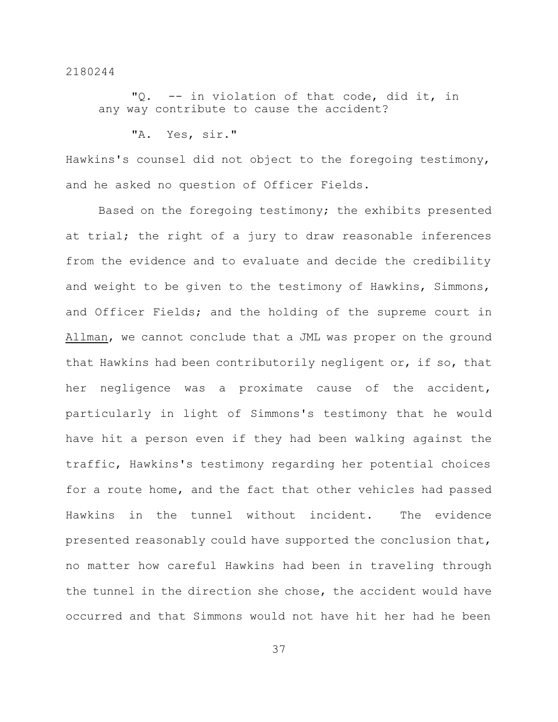"Q. -- in violation of that code, did it, in any way contribute to cause the accident?

```
"A. Yes, sir."
```
Hawkins's counsel did not object to the foregoing testimony, and he asked no question of Officer Fields.

Based on the foregoing testimony; the exhibits presented at trial; the right of a jury to draw reasonable inferences from the evidence and to evaluate and decide the credibility and weight to be given to the testimony of Hawkins, Simmons, and Officer Fields; and the holding of the supreme court in Allman, we cannot conclude that a JML was proper on the ground that Hawkins had been contributorily negligent or, if so, that her negligence was a proximate cause of the accident, particularly in light of Simmons's testimony that he would have hit a person even if they had been walking against the traffic, Hawkins's testimony regarding her potential choices for a route home, and the fact that other vehicles had passed Hawkins in the tunnel without incident. The evidence presented reasonably could have supported the conclusion that, no matter how careful Hawkins had been in traveling through the tunnel in the direction she chose, the accident would have occurred and that Simmons would not have hit her had he been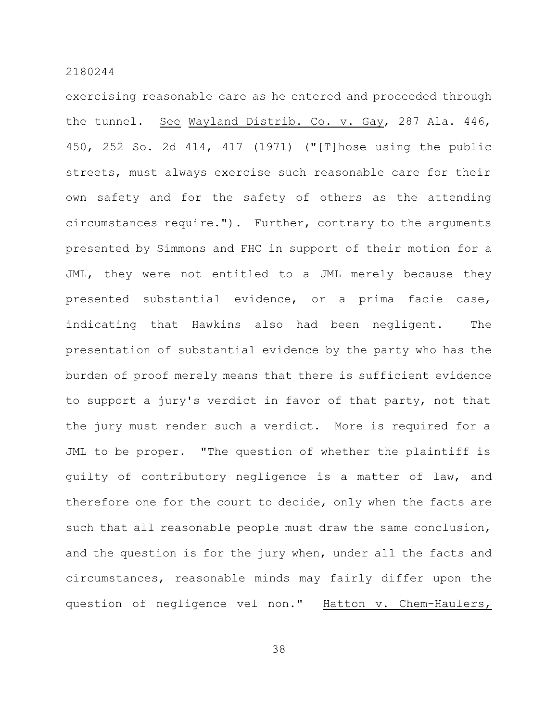exercising reasonable care as he entered and proceeded through the tunnel. See Wayland Distrib. Co. v. Gay, 287 Ala. 446, 450, 252 So. 2d 414, 417 (1971) ("[T]hose using the public streets, must always exercise such reasonable care for their own safety and for the safety of others as the attending circumstances require."). Further, contrary to the arguments presented by Simmons and FHC in support of their motion for a JML, they were not entitled to a JML merely because they presented substantial evidence, or a prima facie case, indicating that Hawkins also had been negligent. The presentation of substantial evidence by the party who has the burden of proof merely means that there is sufficient evidence to support a jury's verdict in favor of that party, not that the jury must render such a verdict. More is required for a JML to be proper. "The question of whether the plaintiff is guilty of contributory negligence is a matter of law, and therefore one for the court to decide, only when the facts are such that all reasonable people must draw the same conclusion, and the question is for the jury when, under all the facts and circumstances, reasonable minds may fairly differ upon the question of negligence vel non." Hatton v. Chem-Haulers,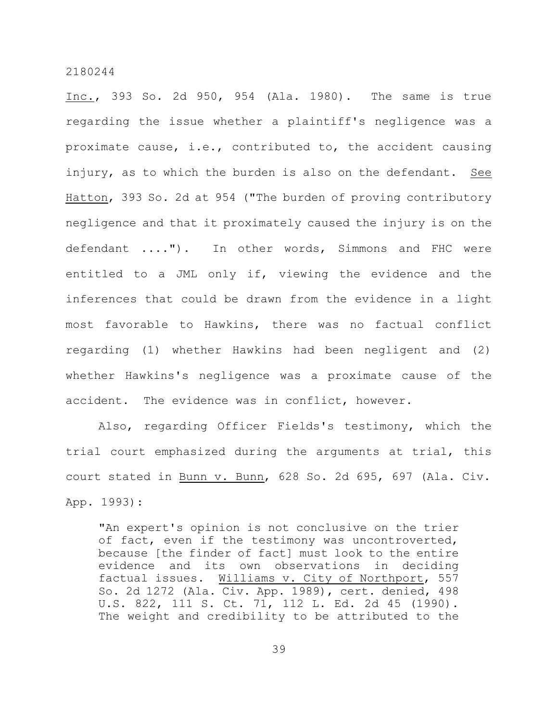Inc., 393 So. 2d 950, 954 (Ala. 1980). The same is true regarding the issue whether a plaintiff's negligence was a proximate cause, i.e., contributed to, the accident causing injury, as to which the burden is also on the defendant. See Hatton, 393 So. 2d at 954 ("The burden of proving contributory negligence and that it proximately caused the injury is on the defendant ...."). In other words, Simmons and FHC were entitled to a JML only if, viewing the evidence and the inferences that could be drawn from the evidence in a light most favorable to Hawkins, there was no factual conflict regarding (1) whether Hawkins had been negligent and (2) whether Hawkins's negligence was a proximate cause of the accident. The evidence was in conflict, however.

Also, regarding Officer Fields's testimony, which the trial court emphasized during the arguments at trial, this court stated in Bunn v. Bunn, 628 So. 2d 695, 697 (Ala. Civ. App. 1993):

"An expert's opinion is not conclusive on the trier of fact, even if the testimony was uncontroverted, because [the finder of fact] must look to the entire evidence and its own observations in deciding factual issues. Williams v. City of Northport, 557 So. 2d 1272 (Ala. Civ. App. 1989), cert. denied, 498 U.S. 822, 111 S. Ct. 71, 112 L. Ed. 2d 45 (1990). The weight and credibility to be attributed to the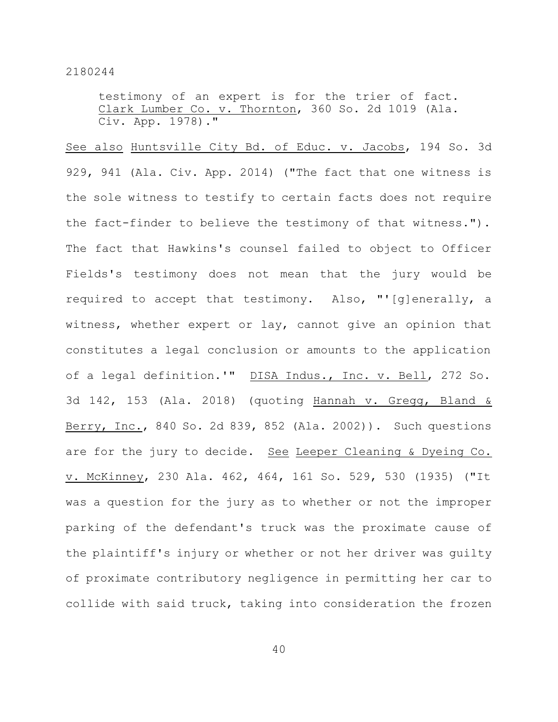testimony of an expert is for the trier of fact. Clark Lumber Co. v. Thornton, 360 So. 2d 1019 (Ala. Civ. App. 1978)."

See also Huntsville City Bd. of Educ. v. Jacobs, 194 So. 3d 929, 941 (Ala. Civ. App. 2014) ("The fact that one witness is the sole witness to testify to certain facts does not require the fact-finder to believe the testimony of that witness."). The fact that Hawkins's counsel failed to object to Officer Fields's testimony does not mean that the jury would be required to accept that testimony. Also, "'[g]enerally, a witness, whether expert or lay, cannot give an opinion that constitutes a legal conclusion or amounts to the application of a legal definition.'" DISA Indus., Inc. v. Bell, 272 So. 3d 142, 153 (Ala. 2018) (quoting Hannah v. Gregg, Bland & Berry, Inc., 840 So. 2d 839, 852 (Ala. 2002)). Such questions are for the jury to decide. See Leeper Cleaning & Dyeing Co. v. McKinney, 230 Ala. 462, 464, 161 So. 529, 530 (1935) ("It was a question for the jury as to whether or not the improper parking of the defendant's truck was the proximate cause of the plaintiff's injury or whether or not her driver was guilty of proximate contributory negligence in permitting her car to collide with said truck, taking into consideration the frozen